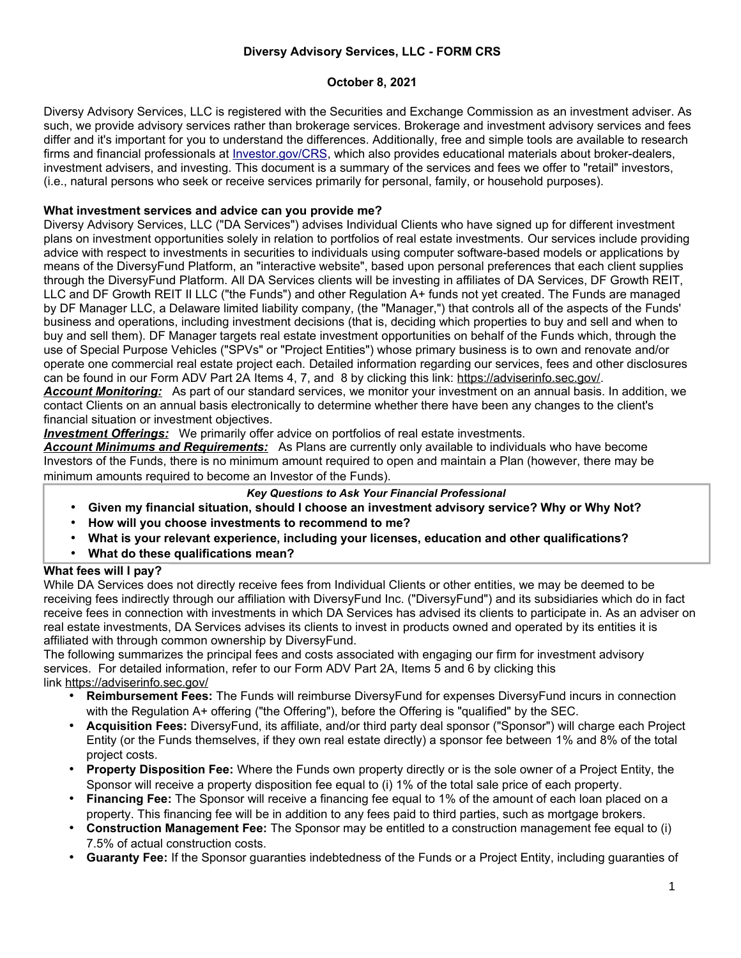## **Diversy Advisory Services, LLC - FORM CRS**

## **October 8, 2021**

Diversy Advisory Services, LLC is registered with the Securities and Exchange Commission as an investment adviser. As such, we provide advisory services rather than brokerage services. Brokerage and investment advisory services and fees differ and it's important for you to understand the differences. Additionally, free and simple tools are available to research firms and financial professionals at *Investor.gov/CRS*, which also provides educational materials about broker-dealers, investment advisers, and investing. This document is a summary of the services and fees we offer to "retail" investors, (i.e., natural persons who seek or receive services primarily for personal, family, or household purposes).

## **What investment services and advice can you provide me?**

Diversy Advisory Services, LLC ("DA Services") advises Individual Clients who have signed up for different investment plans on investment opportunities solely in relation to portfolios of real estate investments. Our services include providing advice with respect to investments in securities to individuals using computer software-based models or applications by means of the DiversyFund Platform, an "interactive website", based upon personal preferences that each client supplies through the DiversyFund Platform. All DA Services clients will be investing in affiliates of DA Services, DF Growth REIT, LLC and DF Growth REIT II LLC ("the Funds") and other Regulation A+ funds not yet created. The Funds are managed by DF Manager LLC, a Delaware limited liability company, (the "Manager,") that controls all of the aspects of the Funds' business and operations, including investment decisions (that is, deciding which properties to buy and sell and when to buy and sell them). DF Manager targets real estate investment opportunities on behalf of the Funds which, through the use of Special Purpose Vehicles ("SPVs" or "Project Entities") whose primary business is to own and renovate and/or operate one commercial real estate project each. Detailed information regarding our services, fees and other disclosures can be found in our Form ADV Part 2A Items 4, 7, and 8 by clicking this link: https://adviserinfo.sec.gov/. *Account Monitoring:* As part of our standard services, we monitor your investment on an annual basis. In addition, we

contact Clients on an annual basis electronically to determine whether there have been any changes to the client's financial situation or investment objectives.

 *Investment Offerings:* We primarily offer advice on portfolios of real estate investments.

*Account Minimums and Requirements:* As Plans are currently only available to individuals who have become Investors of the Funds, there is no minimum amount required to open and maintain a Plan (however, there may be minimum amounts required to become an Investor of the Funds).

### *Key Questions to Ask Your Financial Professional*

- **Given my financial situation, should I choose an investment advisory service? Why or Why Not?**
- **How will you choose investments to recommend to me?**
- **What is your relevant experience, including your licenses, education and other qualifications?**
- **What do these qualifications mean?**

### **What fees will I pay?**

While DA Services does not directly receive fees from Individual Clients or other entities, we may be deemed to be receiving fees indirectly through our affiliation with DiversyFund Inc. ("DiversyFund") and its subsidiaries which do in fact receive fees in connection with investments in which DA Services has advised its clients to participate in. As an adviser on real estate investments, DA Services advises its clients to invest in products owned and operated by its entities it is affiliated with through common ownership by DiversyFund.

The following summarizes the principal fees and costs associated with engaging our firm for investment advisory services. For detailed information, refer to our Form ADV Part 2A, Items 5 and 6 by clicking this link https://adviserinfo.sec.gov/

- **Reimbursement Fees:** The Funds will reimburse DiversyFund for expenses DiversyFund incurs in connection with the Regulation A+ offering ("the Offering"), before the Offering is "qualified" by the SEC.
- **Acquisition Fees:** DiversyFund, its affiliate, and/or third party deal sponsor ("Sponsor") will charge each Project Entity (or the Funds themselves, if they own real estate directly) a sponsor fee between 1% and 8% of the total project costs.
- **Property Disposition Fee:** Where the Funds own property directly or is the sole owner of a Project Entity, the Sponsor will receive a property disposition fee equal to (i) 1% of the total sale price of each property.
- **Financing Fee:** The Sponsor will receive a financing fee equal to 1% of the amount of each loan placed on a property. This financing fee will be in addition to any fees paid to third parties, such as mortgage brokers.
- **Construction Management Fee:** The Sponsor may be entitled to a construction management fee equal to (i) 7.5% of actual construction costs.
- **Guaranty Fee:** If the Sponsor guaranties indebtedness of the Funds or a Project Entity, including guaranties of